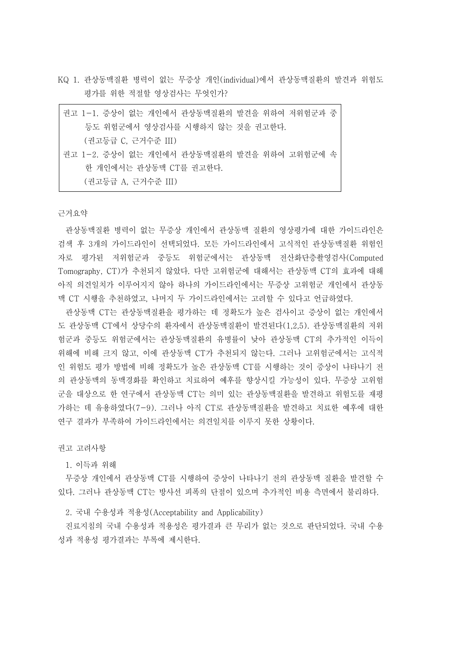KQ 1. 관상동맥질환 병력이 없는 무증상 개인(individual)에서 관상동맥질환의 발견과 위험도 평가를 위한 적절할 영상검사는 무엇인가?

| 권고 1-1. 증상이 없는 개인에서 관상동맥질환의 발견을 위하여 저위험군과 중 |  |
|---------------------------------------------|--|
| 등도 위험군에서 영상검사를 시행하지 않는 것을 권고한다.             |  |
| (권고등급 C, 근거수준 III)                          |  |
| 권고 1-2. 증상이 없는 개인에서 관상동맥질환의 발견을 위하여 고위험군에 속 |  |
| 한 개인에서는 관상동맥 CT를 권고한다.                      |  |
| (권고등급 A. 근거수준 III)                          |  |

근거요약

관상동맥질환 병력이 없는 무증상 개인에서 관상동맥 질환의 영상평가에 대한 가이드라인은 검색 후 3개의 가이드라인이 선택되었다. 모든 가이드라인에서 고식적인 관상동맥질환 위험인 자로 평가된 저위험군과 중등도 위험군에서는 관상동맥 전산화단층촬영검사(Computed Tomography, CT)가 추천되지 않았다. 다만 고위험군에 대해서는 관상동맥 CT의 효과에 대해 아직 의견일치가 이루어지지 않아 하나의 가이드라인에서는 무증상 고위험군 개인에서 관상동 맥 CT 시행을 추천하였고, 나머지 두 가이드라인에서는 고려할 수 있다고 언급하였다.

관상동맥 CT는 관상동맥질환을 평가하는 데 정확도가 높은 검사이고 증상이 없는 개인에서 도 관상동맥 CT에서 상당수의 환자에서 관상동맥질환이 발견된다(1,2,5). 관상동맥질환의 저위 험군과 중등도 위험군에서는 관상동맥질환의 유병률이 낮아 관상동맥 CT의 추가적인 이득이 위해에 비해 크지 않고, 이에 관상동맥 CT가 추천되지 않는다. 그러나 고위험군에서는 고식적 인 위험도 평가 방법에 비해 정확도가 높은 관상동맥 CT를 시행하는 것이 증상이 나타나기 전 의 관상동맥의 동맥경화를 확인하고 치료하여 예후를 향상시킬 가능성이 있다. 무증상 고위험 군을 대상으로 한 연구에서 관상동맥 CT는 의미 있는 관상동맥질환을 발견하고 위험도를 재평 가하는 데 유용하였다(7-9). 그러나 아직 CT로 관상동맥질환을 발견하고 치료한 예후에 대한 연구 결과가 부족하여 가이드라인에서는 의견일치를 이루지 못한 상황이다.

권고 고려사항

1. 이득과 위해

무증상 개인에서 관상동맥 CT를 시행하여 증상이 나타나기 전의 관상동맥 질환을 발견할 수 있다. 그러나 관상동맥 CT는 방사선 피폭의 단점이 있으며 추가적인 비용 측면에서 불리하다.<br>-<br>- 2. 국내 수용성과 적용성(Acceptability and Applicability)

진료지침의 국내 수용성과 적용성은 평가결과 큰 무리가 없는 것으로 판단되었다. 국내 수용 성과 적용성 평가결과는 부록에 제시한다.